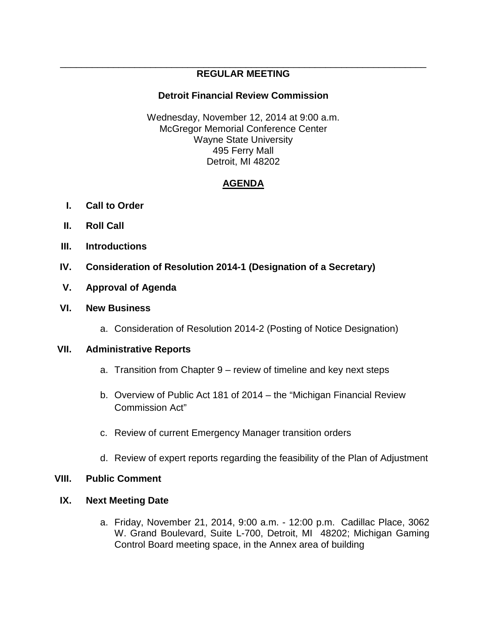#### \_\_\_\_\_\_\_\_\_\_\_\_\_\_\_\_\_\_\_\_\_\_\_\_\_\_\_\_\_\_\_\_\_\_\_\_\_\_\_\_\_\_\_\_\_\_\_\_\_\_\_\_\_\_\_\_\_\_\_\_\_\_\_\_\_\_\_\_\_ **REGULAR MEETING**

### **Detroit Financial Review Commission**

Wednesday, November 12, 2014 at 9:00 a.m. McGregor Memorial Conference Center Wayne State University 495 Ferry Mall Detroit, MI 48202

## **AGENDA**

- **I. Call to Order**
- **II. Roll Call**
- **III. Introductions**
- **IV. Consideration of Resolution 2014-1 (Designation of a Secretary)**
- **V. Approval of Agenda**

### **VI. New Business**

a. Consideration of Resolution 2014-2 (Posting of Notice Designation)

### **VII. Administrative Reports**

- a. Transition from Chapter 9 review of timeline and key next steps
- b. Overview of Public Act 181 of 2014 the "Michigan Financial Review Commission Act"
- c. Review of current Emergency Manager transition orders
- d. Review of expert reports regarding the feasibility of the Plan of Adjustment

### **VIII. Public Comment**

### **IX. Next Meeting Date**

a. Friday, November 21, 2014, 9:00 a.m. - 12:00 p.m. Cadillac Place, 3062 W. Grand Boulevard, Suite L-700, Detroit, MI 48202; Michigan Gaming Control Board meeting space, in the Annex area of building